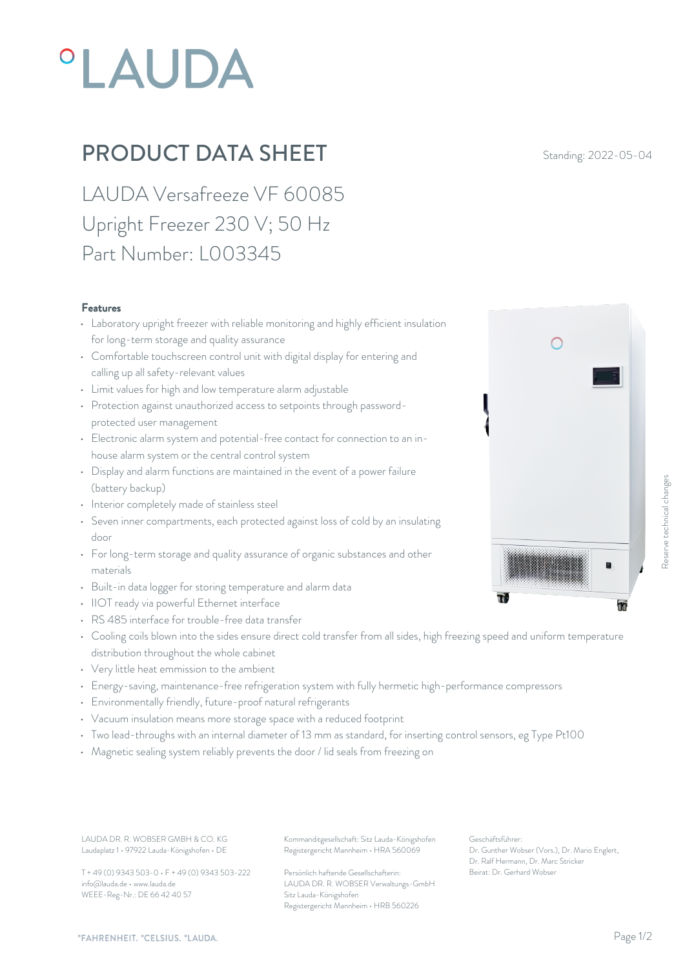# **°LAUDA**

## **PRODUCT DATA SHEET** Standing: 2022-05-04

LAUDA Versafreeze VF 60085 Upright Freezer 230 V; 50 Hz Part Number: L003345

#### Features

- Laboratory upright freezer with reliable monitoring and highly efficient insulation for long-term storage and quality assurance
- Comfortable touchscreen control unit with digital display for entering and calling up all safety-relevant values
- Limit values for high and low temperature alarm adjustable
- Protection against unauthorized access to setpoints through passwordprotected user management
- Electronic alarm system and potential-free contact for connection to an inhouse alarm system or the central control system
- Display and alarm functions are maintained in the event of a power failure (battery backup)
- Interior completely made of stainless steel
- Seven inner compartments, each protected against loss of cold by an insulating door
- For long-term storage and quality assurance of organic substances and other materials
- Built-in data logger for storing temperature and alarm data
- IIOT ready via powerful Ethernet interface
- RS 485 interface for trouble-free data transfer
- Cooling coils blown into the sides ensure direct cold transfer from all sides, high freezing speed and uniform temperature distribution throughout the whole cabinet
- Very little heat emmission to the ambient
- Energy-saving, maintenance-free refrigeration system with fully hermetic high-performance compressors
- Environmentally friendly, future-proof natural refrigerants
- Vacuum insulation means more storage space with a reduced footprint
- Two lead-throughs with an internal diameter of 13 mm as standard, for inserting control sensors, eg Type Pt100
- Magnetic sealing system reliably prevents the door / lid seals from freezing on

Laudaplatz 1 • 97922 Lauda-Königshofen • DE

T + 49 (0) 9343 503-0 • F + 49 (0) 9343 503-222 info@lauda.de • www.lauda.de WEEE-Reg-Nr.: DE 66 42 40 57

LAUDA DR. R. WOBSER GMBH & CO. KG Kommanditgesellschaft: Sitz Lauda-Königshofen Geschäftsführer: Registergericht Mannheim • HRA 560069

> Persönlich haftende Gesellschafterin: Beirat: Dr. Gerhard Wobse LAUDA DR. R. WOBSER Verwaltungs-GmbH Sitz Lauda-Königshofen Registergericht Mannheim • HRB 560226

Geschäftsführer: Dr. Gunther Wobser (Vors.), Dr. Mario Englert, Dr. Ralf Hermann, Dr. Marc Stricker Beschäftsführer:<br>Beischäftsführer:<br>Dr. Gerhard Wobser (Vors.), Dr. Mario Englert,<br>Beischäftsführer:<br>Dr. Genther Wobser (Vors.), Dr. Mario Englert,<br>Dr. Raf Hermann, D. M. Marc Stricker<br>Deirat: Dr. Gerhard Wobser